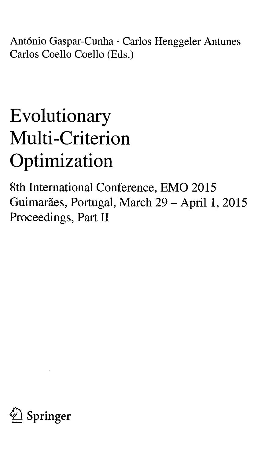António Gaspar-Cunha · Carlos Henggeler Antunes Carlos Coello Coello (Eds.)

## Evolutionary Multi-Criterion Optimization

8th International Conference, EMO <sup>2015</sup> Guimarães, Portugal, March 29 - April 1, 2015 Proceedings, Part II

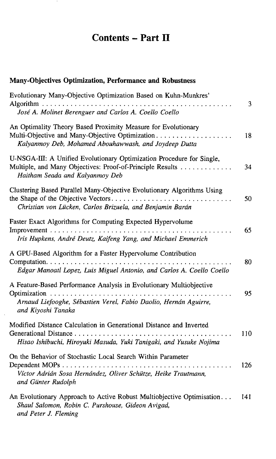## Contents - Part II

## Many-Objectives Optimization, Performance and Robustness

| Evolutionary Many-Objective Optimization Based on Kuhn-Munkres'                                                                                                           | 3   |
|---------------------------------------------------------------------------------------------------------------------------------------------------------------------------|-----|
| José A. Molinet Berenguer and Carlos A. Coello Coello                                                                                                                     |     |
| An Optimality Theory Based Proximity Measure for Evolutionary<br>Multi-Objective and Many-Objective Optimization<br>Kalyanmoy Deb, Mohamed Abouhawwash, and Joydeep Dutta | 18  |
| U-NSGA-III: A Unified Evolutionary Optimization Procedure for Single,<br>Multiple, and Many Objectives: Proof-of-Principle Results<br>Haitham Seada and Kalyanmoy Deb     | 34  |
| Clustering Based Parallel Many-Objective Evolutionary Algorithms Using<br>the Shape of the Objective Vectors<br>Christian von Lücken, Carlos Brizuela, and Benjamin Barán | 50  |
| Faster Exact Algorithms for Computing Expected Hypervolume<br>Iris Hupkens, André Deutz, Kaifeng Yang, and Michael Emmerich                                               | 65  |
| A GPU-Based Algorithm for a Faster Hypervolume Contribution<br>Edgar Manoatl Lopez, Luis Miguel Antonio, and Carlos A. Coello Coello                                      | 80  |
| A Feature-Based Performance Analysis in Evolutionary Multiobjective<br>Arnaud Liefooghe, Sébastien Verel, Fabio Daolio, Hernán Aguirre,<br>and Kiyoshi Tanaka             | 95  |
| Modified Distance Calculation in Generational Distance and Inverted<br>Hisao Ishibuchi, Hiroyuki Masuda, Yuki Tanigaki, and Yusuke Nojima                                 | 110 |
| On the Behavior of Stochastic Local Search Within Parameter<br>Víctor Adrián Sosa Hernández, Oliver Schütze, Heike Trautmann,<br>and Günter Rudolph                       | 126 |
| An Evolutionary Approach to Active Robust Multiobjective Optimisation<br>Shaul Salomon, Robin C. Purshouse, Gideon Avigad,                                                | 141 |

and Peter J. Fleming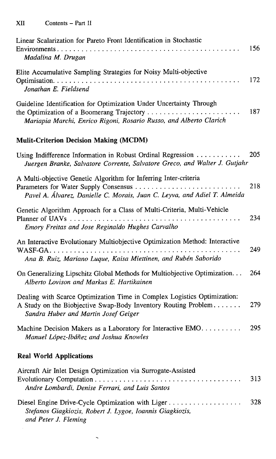| Linear Scalarization for Pareto Front Identification in Stochastic                                                                                                                 | 156 |
|------------------------------------------------------------------------------------------------------------------------------------------------------------------------------------|-----|
| Madalina M. Drugan                                                                                                                                                                 |     |
| Elite Accumulative Sampling Strategies for Noisy Multi-objective<br>Jonathan E. Fieldsend                                                                                          | 172 |
| Guideline Identification for Optimization Under Uncertainty Through<br>Mariapia Marchi, Enrico Rigoni, Rosario Russo, and Alberto Clarich                                          | 187 |
| <b>Mulit-Criterion Decision Making (MCDM)</b>                                                                                                                                      |     |
| Using Indifference Information in Robust Ordinal Regression<br>Juergen Branke, Salvatore Corrente, Salvatore Greco, and Walter J. Gutjahr                                          | 205 |
| A Multi-objective Genetic Algorithm for Inferring Inter-criteria<br>Pavel A. Álvarez, Danielle C. Morais, Juan C. Leyva, and Adiel T. Almeida                                      | 218 |
| Genetic Algorithm Approach for a Class of Multi-Criteria, Multi-Vehicle<br>Emory Freitas and Jose Reginaldo Hughes Carvalho                                                        | 234 |
| An Interactive Evolutionary Multiobjective Optimization Method: Interactive<br>Ana B. Ruiz, Mariano Luque, Kaisa Miettinen, and Rubén Saborido                                     | 249 |
| On Generalizing Lipschitz Global Methods for Multiobjective Optimization.<br>Alberto Lovison and Markus E. Hartikainen                                                             | 264 |
| Dealing with Scarce Optimization Time in Complex Logistics Optimization:<br>A Study on the Biobjective Swap-Body Inventory Routing Problem<br>Sandra Huber and Martin Josef Geiger | 279 |
| Machine Decision Makers as a Laboratory for Interactive EMO.<br>Manuel López-Ibáñez and Joshua Knowles                                                                             | 295 |
| <b>Real World Applications</b>                                                                                                                                                     |     |
| Aircraft Air Inlet Design Optimization via Surrogate-Assisted<br>Andre Lombardi, Denise Ferrari, and Luis Santos                                                                   | 313 |
| Diesel Engine Drive-Cycle Optimization with Liger<br>Stefanos Giagkiozis, Robert J. Lygoe, Ioannis Giagkiozis,<br>and Peter J. Fleming                                             | 328 |

 $\ddot{\phantom{0}}$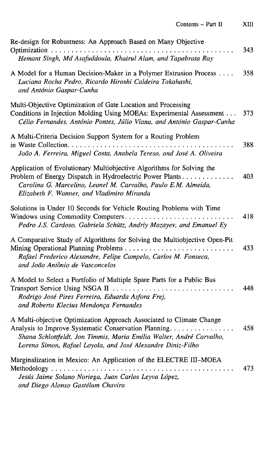| Re-design for Robustness: An Approach Based on Many Objective                                                                                                                                                                                                        |     |
|----------------------------------------------------------------------------------------------------------------------------------------------------------------------------------------------------------------------------------------------------------------------|-----|
| Hemant Singh, Md Asafuddoula, Khairul Alam, and Tapabrata Ray                                                                                                                                                                                                        | 343 |
| A Model for a Human Decision-Maker in a Polymer Extrusion Process<br>Luciana Rocha Pedro, Ricardo Hiroshi Caldeira Takahashi,<br>and António Gaspar-Cunha                                                                                                            | 358 |
| Multi-Objective Optimization of Gate Location and Processing<br>Conditions in Injection Molding Using MOEAs: Experimental Assessment<br>Célio Fernandes, António Pontes, Júlio Viana, and António Gaspar-Cunha                                                       | 373 |
| A Multi-Criteria Decision Support System for a Routing Problem<br>João A. Ferreira, Miguel Costa, Anabela Tereso, and José A. Oliveira                                                                                                                               | 388 |
| Application of Evolutionary Multiobjective Algorithms for Solving the<br>Problem of Energy Dispatch in Hydroelectric Power Plants<br>Carolina G. Marcelino, Leonel M. Carvalho, Paulo E.M. Almeida,<br>Elizabeth F. Wanner, and Vladimiro Miranda                    | 403 |
| Solutions in Under 10 Seconds for Vehicle Routing Problems with Time<br>Windows using Commodity Computers<br>Pedro J.S. Cardoso, Gabriela Schütz, Andriy Mazayev, and Emanuel Ey                                                                                     | 418 |
| A Comparative Study of Algorithms for Solving the Multiobjective Open-Pit<br>Rafael Frederico Alexandre, Felipe Campelo, Carlos M. Fonseca,<br>and João Antônio de Vasconcelos                                                                                       | 433 |
| A Model to Select a Portfolio of Multiple Spare Parts for a Public Bus<br>Transport Service Using NSGA II<br>Rodrigo José Pires Ferreira, Eduarda Asfora Frej,<br>and Roberto Klecius Mendonça Fernandes                                                             | 448 |
| A Multi-objective Optimization Approach Associated to Climate Change<br>Analysis to Improve Systematic Conservation Planning.<br>Shana Schlottfeldt, Jon Timmis, Maria Emilia Walter, André Carvalho,<br>Lorena Simon, Rafael Loyola, and José Alexandre Diniz-Filho | 458 |
| Marginalization in Mexico: An Application of the ELECTRE III-MOEA<br>Methodology<br>Jesús Jaime Solano Noriega, Juan Carlos Leyva López,<br>and Diego Alonso Gastélum Chavira                                                                                        | 473 |